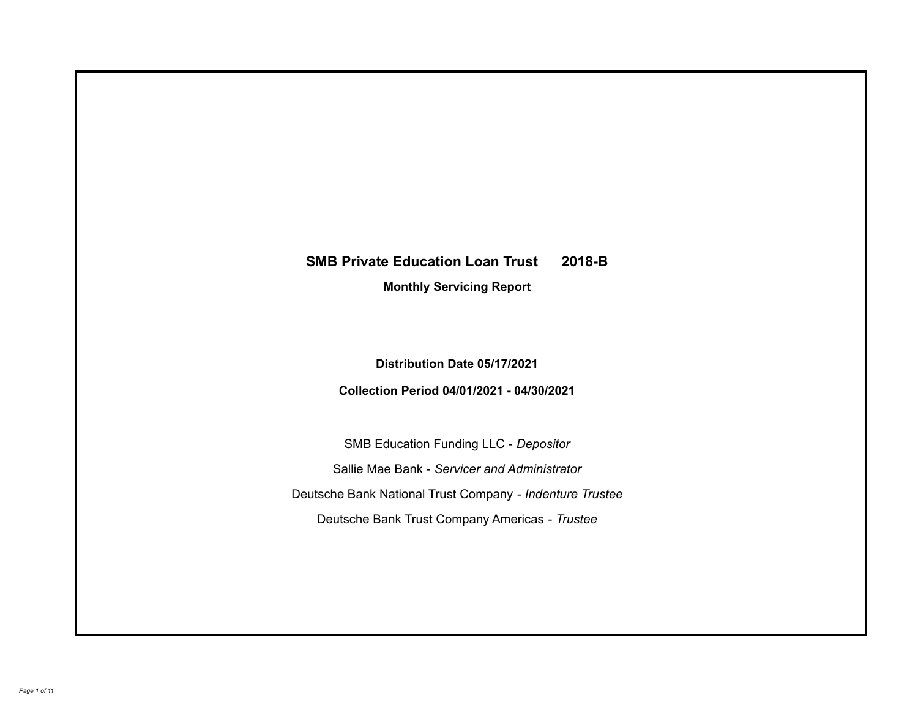# **SMB Private Education Loan Trust 2018-B**

**Monthly Servicing Report**

**Distribution Date 05/17/2021**

**Collection Period 04/01/2021 - 04/30/2021**

SMB Education Funding LLC - *Depositor* Sallie Mae Bank - *Servicer and Administrator* Deutsche Bank National Trust Company - *Indenture Trustee* Deutsche Bank Trust Company Americas - *Trustee*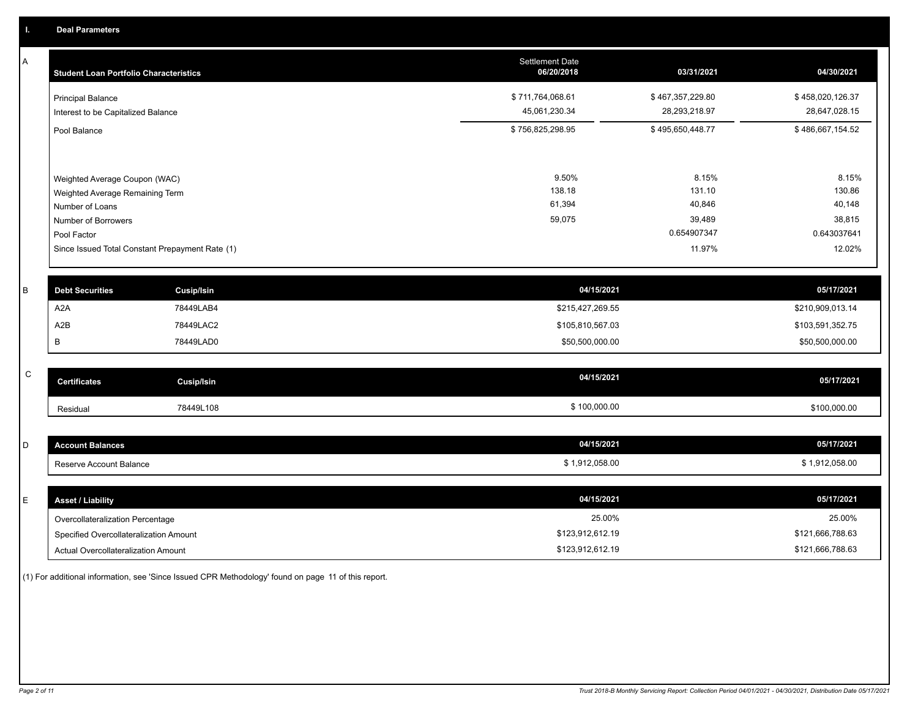A

| А | <b>Student Loan Portfolio Characteristics</b>                    | <b>Settlement Date</b><br>06/20/2018 | 03/31/2021                        | 04/30/2021                        |
|---|------------------------------------------------------------------|--------------------------------------|-----------------------------------|-----------------------------------|
|   | <b>Principal Balance</b><br>Interest to be Capitalized Balance   | \$711,764,068.61<br>45,061,230.34    | \$467,357,229.80<br>28,293,218.97 | \$458,020,126.37<br>28,647,028.15 |
|   | Pool Balance                                                     | \$756,825,298.95                     | \$495,650,448.77                  | \$486,667,154.52                  |
|   | Weighted Average Coupon (WAC)<br>Weighted Average Remaining Term | 9.50%<br>138.18                      | 8.15%<br>131.10                   | 8.15%<br>130.86                   |
|   | Number of Loans<br>Number of Borrowers<br>Pool Factor            | 61,394<br>59,075                     | 40,846<br>39,489<br>0.654907347   | 40,148<br>38,815<br>0.643037641   |
|   | Since Issued Total Constant Prepayment Rate (1)                  |                                      | 11.97%                            | 12.02%                            |
| в | <b>Debt Securities</b><br><b>Cusip/Isin</b>                      | 04/15/2021                           |                                   | 05/17/2021                        |

|                  | <b>DENI ACAMINICA</b><br>Gusipham |                  | $-0.01111 - 0.0111$ |
|------------------|-----------------------------------|------------------|---------------------|
| A <sub>2</sub> A | 78449LAB4                         | \$215,427,269.55 | \$210,909,013.14    |
| A2B              | 78449LAC2                         | \$105,810,567.03 | \$103,591,352.75    |
| в                | 78449LAD0                         | \$50,500,000.00  | \$50,500,000.00     |

| C | <b>Certificates</b> | Cusip/Isin | 04/15/2021   | 05/17/2021   |
|---|---------------------|------------|--------------|--------------|
|   | Residual            | 78449L108  | \$100,000.00 | \$100,000.00 |

| -<br>◡ | <b>Account Balances</b> | 04/15/2021   | 05/17/2021                |
|--------|-------------------------|--------------|---------------------------|
|        | Reserve Account Balance | 1,912,058.00 | ,912,058.00<br>$^{\star}$ |

| E. | <b>Asset / Liability</b>               | 04/15/2021       | 05/17/2021       |
|----|----------------------------------------|------------------|------------------|
|    | Overcollateralization Percentage       | 25.00%           | 25.00%           |
|    | Specified Overcollateralization Amount | \$123,912,612.19 | \$121,666,788.63 |
|    | Actual Overcollateralization Amount    | \$123,912,612.19 | \$121,666,788.63 |

(1) For additional information, see 'Since Issued CPR Methodology' found on page 11 of this report.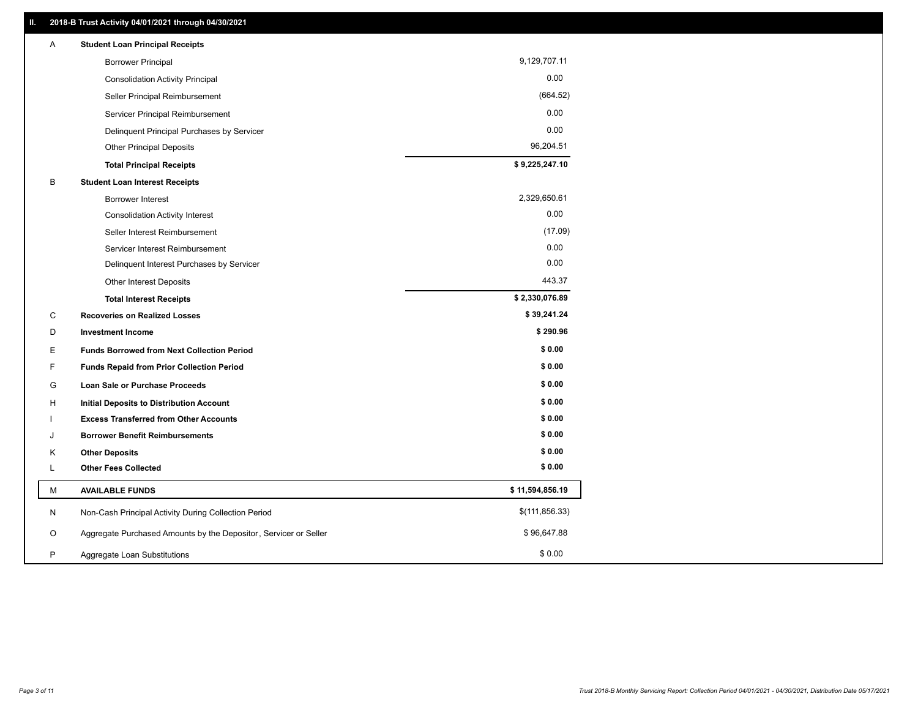| Α | <b>Student Loan Principal Receipts</b>                           |                 |
|---|------------------------------------------------------------------|-----------------|
|   | <b>Borrower Principal</b>                                        | 9,129,707.11    |
|   | <b>Consolidation Activity Principal</b>                          | 0.00            |
|   | Seller Principal Reimbursement                                   | (664.52)        |
|   | Servicer Principal Reimbursement                                 | 0.00            |
|   | Delinquent Principal Purchases by Servicer                       | 0.00            |
|   | <b>Other Principal Deposits</b>                                  | 96,204.51       |
|   | <b>Total Principal Receipts</b>                                  | \$9,225,247.10  |
| В | <b>Student Loan Interest Receipts</b>                            |                 |
|   | Borrower Interest                                                | 2,329,650.61    |
|   | <b>Consolidation Activity Interest</b>                           | 0.00            |
|   | Seller Interest Reimbursement                                    | (17.09)         |
|   | Servicer Interest Reimbursement                                  | 0.00            |
|   | Delinquent Interest Purchases by Servicer                        | 0.00            |
|   | <b>Other Interest Deposits</b>                                   | 443.37          |
|   | <b>Total Interest Receipts</b>                                   | \$2,330,076.89  |
| C | <b>Recoveries on Realized Losses</b>                             | \$39,241.24     |
| D | <b>Investment Income</b>                                         | \$290.96        |
| Ε | <b>Funds Borrowed from Next Collection Period</b>                | \$0.00          |
| F | <b>Funds Repaid from Prior Collection Period</b>                 | \$0.00          |
| G | Loan Sale or Purchase Proceeds                                   | \$0.00          |
| н | Initial Deposits to Distribution Account                         | \$0.00          |
|   | <b>Excess Transferred from Other Accounts</b>                    | \$0.00          |
| J | <b>Borrower Benefit Reimbursements</b>                           | \$0.00          |
| Κ | <b>Other Deposits</b>                                            | \$0.00          |
| L | <b>Other Fees Collected</b>                                      | \$0.00          |
| м | <b>AVAILABLE FUNDS</b>                                           | \$11,594,856.19 |
| N | Non-Cash Principal Activity During Collection Period             | \$(111, 856.33) |
| O | Aggregate Purchased Amounts by the Depositor, Servicer or Seller | \$96,647.88     |
| P | Aggregate Loan Substitutions                                     | \$0.00          |
|   |                                                                  |                 |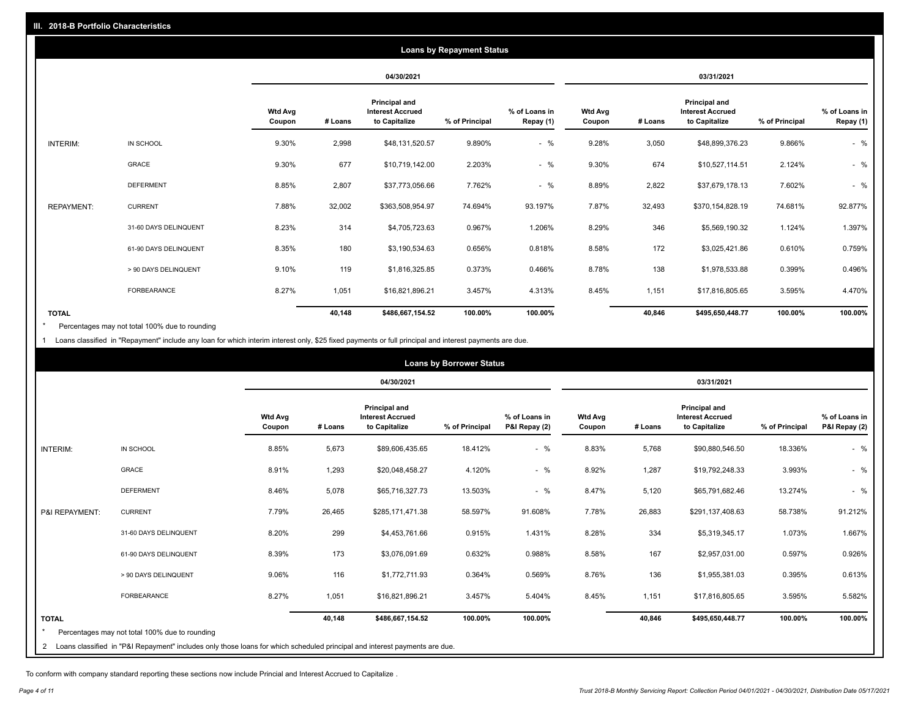|                   |                       |                          |         |                                                           | <b>Loans by Repayment Status</b> |                            |                          |         |                                                           |                |                            |
|-------------------|-----------------------|--------------------------|---------|-----------------------------------------------------------|----------------------------------|----------------------------|--------------------------|---------|-----------------------------------------------------------|----------------|----------------------------|
|                   |                       |                          |         | 04/30/2021                                                |                                  |                            |                          |         | 03/31/2021                                                |                |                            |
|                   |                       | <b>Wtd Avg</b><br>Coupon | # Loans | Principal and<br><b>Interest Accrued</b><br>to Capitalize | % of Principal                   | % of Loans in<br>Repay (1) | <b>Wtd Avg</b><br>Coupon | # Loans | Principal and<br><b>Interest Accrued</b><br>to Capitalize | % of Principal | % of Loans in<br>Repay (1) |
| INTERIM:          | IN SCHOOL             | 9.30%                    | 2,998   | \$48,131,520.57                                           | 9.890%                           | $-$ %                      | 9.28%                    | 3,050   | \$48,899,376.23                                           | 9.866%         | $-$ %                      |
|                   | GRACE                 | 9.30%                    | 677     | \$10,719,142.00                                           | 2.203%                           | $-$ %                      | 9.30%                    | 674     | \$10,527,114.51                                           | 2.124%         | $-$ %                      |
|                   | <b>DEFERMENT</b>      | 8.85%                    | 2,807   | \$37,773,056.66                                           | 7.762%                           | $-$ %                      | 8.89%                    | 2,822   | \$37,679,178.13                                           | 7.602%         | $-$ %                      |
| <b>REPAYMENT:</b> | <b>CURRENT</b>        | 7.88%                    | 32,002  | \$363,508,954.97                                          | 74.694%                          | 93.197%                    | 7.87%                    | 32,493  | \$370,154,828.19                                          | 74.681%        | 92.877%                    |
|                   | 31-60 DAYS DELINQUENT | 8.23%                    | 314     | \$4,705,723.63                                            | 0.967%                           | 1.206%                     | 8.29%                    | 346     | \$5,569,190.32                                            | 1.124%         | 1.397%                     |
|                   | 61-90 DAYS DELINQUENT | 8.35%                    | 180     | \$3,190,534.63                                            | 0.656%                           | 0.818%                     | 8.58%                    | 172     | \$3,025,421.86                                            | 0.610%         | 0.759%                     |
|                   | > 90 DAYS DELINQUENT  | 9.10%                    | 119     | \$1,816,325.85                                            | 0.373%                           | 0.466%                     | 8.78%                    | 138     | \$1,978,533.88                                            | 0.399%         | 0.496%                     |
|                   | <b>FORBEARANCE</b>    | 8.27%                    | 1,051   | \$16,821,896.21                                           | 3.457%                           | 4.313%                     | 8.45%                    | 1,151   | \$17,816,805.65                                           | 3.595%         | 4.470%                     |
| <b>TOTAL</b>      |                       |                          | 40,148  | \$486,667,154.52                                          | 100.00%                          | 100.00%                    |                          | 40,846  | \$495,650,448.77                                          | 100.00%        | 100.00%                    |

Percentages may not total 100% due to rounding \*

1 Loans classified in "Repayment" include any loan for which interim interest only, \$25 fixed payments or full principal and interest payments are due.

|                 |                                                                                                                              |                          |         |                                                           | <b>Loans by Borrower Status</b> |                                |                          |         |                                                                  |                |                                |
|-----------------|------------------------------------------------------------------------------------------------------------------------------|--------------------------|---------|-----------------------------------------------------------|---------------------------------|--------------------------------|--------------------------|---------|------------------------------------------------------------------|----------------|--------------------------------|
|                 |                                                                                                                              |                          |         | 04/30/2021                                                |                                 |                                |                          |         | 03/31/2021                                                       |                |                                |
|                 |                                                                                                                              | <b>Wtd Avg</b><br>Coupon | # Loans | Principal and<br><b>Interest Accrued</b><br>to Capitalize | % of Principal                  | % of Loans in<br>P&I Repay (2) | <b>Wtd Avg</b><br>Coupon | # Loans | <b>Principal and</b><br><b>Interest Accrued</b><br>to Capitalize | % of Principal | % of Loans in<br>P&I Repay (2) |
| <b>INTERIM:</b> | IN SCHOOL                                                                                                                    | 8.85%                    | 5,673   | \$89,606,435.65                                           | 18.412%                         | $-$ %                          | 8.83%                    | 5,768   | \$90,880,546.50                                                  | 18.336%        | $-$ %                          |
|                 | <b>GRACE</b>                                                                                                                 | 8.91%                    | 1,293   | \$20,048,458.27                                           | 4.120%                          | $-$ %                          | 8.92%                    | 1,287   | \$19,792,248.33                                                  | 3.993%         | $-$ %                          |
|                 | <b>DEFERMENT</b>                                                                                                             | 8.46%                    | 5,078   | \$65,716,327.73                                           | 13.503%                         | $-$ %                          | 8.47%                    | 5,120   | \$65,791,682.46                                                  | 13.274%        | $-$ %                          |
| P&I REPAYMENT:  | <b>CURRENT</b>                                                                                                               | 7.79%                    | 26,465  | \$285,171,471.38                                          | 58.597%                         | 91.608%                        | 7.78%                    | 26,883  | \$291,137,408.63                                                 | 58.738%        | 91.212%                        |
|                 | 31-60 DAYS DELINQUENT                                                                                                        | 8.20%                    | 299     | \$4,453,761.66                                            | 0.915%                          | 1.431%                         | 8.28%                    | 334     | \$5,319,345.17                                                   | 1.073%         | 1.667%                         |
|                 | 61-90 DAYS DELINQUENT                                                                                                        | 8.39%                    | 173     | \$3,076,091.69                                            | 0.632%                          | 0.988%                         | 8.58%                    | 167     | \$2,957,031.00                                                   | 0.597%         | 0.926%                         |
|                 | > 90 DAYS DELINQUENT                                                                                                         | 9.06%                    | 116     | \$1,772,711.93                                            | 0.364%                          | 0.569%                         | 8.76%                    | 136     | \$1,955,381.03                                                   | 0.395%         | 0.613%                         |
|                 | <b>FORBEARANCE</b>                                                                                                           | 8.27%                    | 1,051   | \$16,821,896.21                                           | 3.457%                          | 5.404%                         | 8.45%                    | 1,151   | \$17,816,805.65                                                  | 3.595%         | 5.582%                         |
| <b>TOTAL</b>    |                                                                                                                              |                          | 40,148  | \$486,667,154.52                                          | 100.00%                         | 100.00%                        |                          | 40,846  | \$495,650,448.77                                                 | 100.00%        | 100.00%                        |
| $\star$         | Percentages may not total 100% due to rounding                                                                               |                          |         |                                                           |                                 |                                |                          |         |                                                                  |                |                                |
|                 | 2 Loans classified in "P&I Repayment" includes only those loans for which scheduled principal and interest payments are due. |                          |         |                                                           |                                 |                                |                          |         |                                                                  |                |                                |

To conform with company standard reporting these sections now include Princial and Interest Accrued to Capitalize .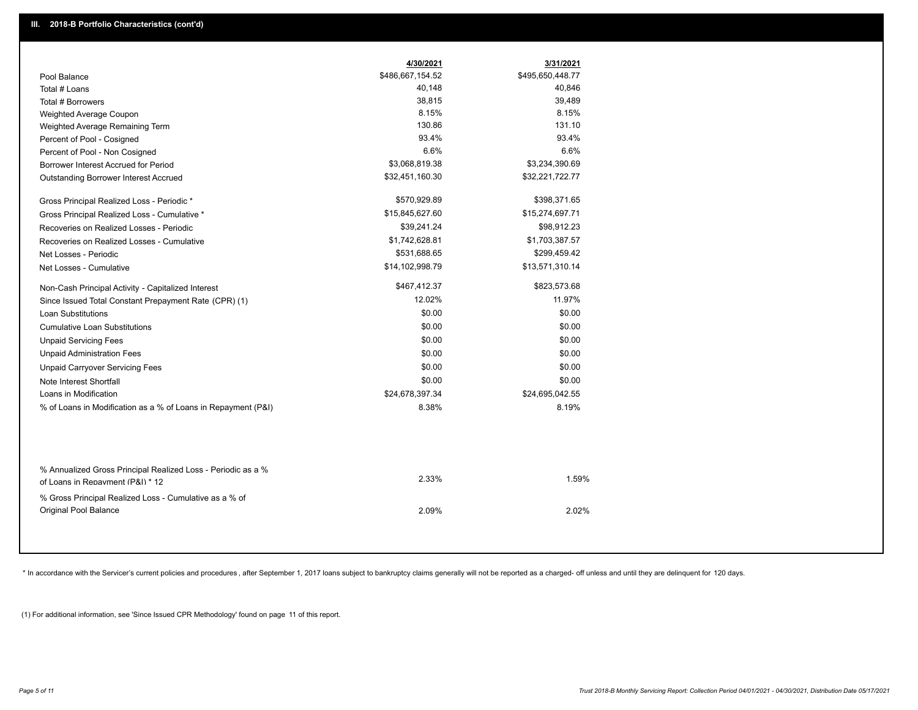|                                                                                        | 4/30/2021        | 3/31/2021        |
|----------------------------------------------------------------------------------------|------------------|------------------|
| Pool Balance                                                                           | \$486,667,154.52 | \$495,650,448.77 |
| Total # Loans                                                                          | 40,148           | 40,846           |
| Total # Borrowers                                                                      | 38,815           | 39,489           |
| Weighted Average Coupon                                                                | 8.15%            | 8.15%            |
| Weighted Average Remaining Term                                                        | 130.86           | 131.10           |
| Percent of Pool - Cosigned                                                             | 93.4%            | 93.4%            |
| Percent of Pool - Non Cosigned                                                         | 6.6%             | 6.6%             |
| Borrower Interest Accrued for Period                                                   | \$3,068,819.38   | \$3,234,390.69   |
| Outstanding Borrower Interest Accrued                                                  | \$32,451,160.30  | \$32,221,722.77  |
| Gross Principal Realized Loss - Periodic *                                             | \$570,929.89     | \$398,371.65     |
| Gross Principal Realized Loss - Cumulative *                                           | \$15,845,627.60  | \$15,274,697.71  |
| Recoveries on Realized Losses - Periodic                                               | \$39,241.24      | \$98,912.23      |
| Recoveries on Realized Losses - Cumulative                                             | \$1,742,628.81   | \$1,703,387.57   |
| Net Losses - Periodic                                                                  | \$531,688.65     | \$299,459.42     |
| Net Losses - Cumulative                                                                | \$14,102,998.79  | \$13,571,310.14  |
| Non-Cash Principal Activity - Capitalized Interest                                     | \$467,412.37     | \$823,573.68     |
| Since Issued Total Constant Prepayment Rate (CPR) (1)                                  | 12.02%           | 11.97%           |
| <b>Loan Substitutions</b>                                                              | \$0.00           | \$0.00           |
| <b>Cumulative Loan Substitutions</b>                                                   | \$0.00           | \$0.00           |
| <b>Unpaid Servicing Fees</b>                                                           | \$0.00           | \$0.00           |
| <b>Unpaid Administration Fees</b>                                                      | \$0.00           | \$0.00           |
| <b>Unpaid Carryover Servicing Fees</b>                                                 | \$0.00           | \$0.00           |
| Note Interest Shortfall                                                                | \$0.00           | \$0.00           |
| Loans in Modification                                                                  | \$24,678,397.34  | \$24,695,042.55  |
| % of Loans in Modification as a % of Loans in Repayment (P&I)                          | 8.38%            | 8.19%            |
| % Annualized Gross Principal Realized Loss - Periodic as a %                           |                  |                  |
| of Loans in Repayment (P&I) * 12                                                       | 2.33%            | 1.59%            |
| % Gross Principal Realized Loss - Cumulative as a % of<br><b>Original Pool Balance</b> | 2.09%            | 2.02%            |

\* In accordance with the Servicer's current policies and procedures, after September 1, 2017 loans subject to bankruptcy claims generally will not be reported as a charged- off unless and until they are delinquent for 120

(1) For additional information, see 'Since Issued CPR Methodology' found on page 11 of this report.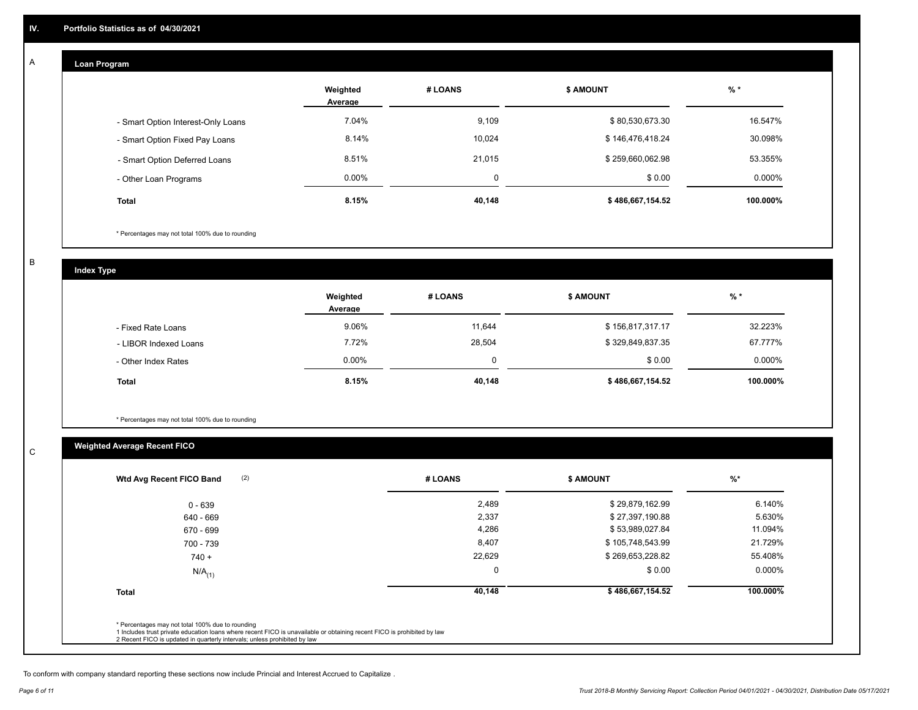#### **Loan Program**  A

|                                    | Weighted<br>Average | # LOANS | <b>\$ AMOUNT</b> | $%$ *    |
|------------------------------------|---------------------|---------|------------------|----------|
| - Smart Option Interest-Only Loans | 7.04%               | 9,109   | \$80,530,673.30  | 16.547%  |
| - Smart Option Fixed Pay Loans     | 8.14%               | 10,024  | \$146,476,418.24 | 30.098%  |
| - Smart Option Deferred Loans      | 8.51%               | 21,015  | \$259,660,062.98 | 53.355%  |
| - Other Loan Programs              | $0.00\%$            | 0       | \$0.00           | 0.000%   |
| <b>Total</b>                       | 8.15%               | 40,148  | \$486,667,154.52 | 100.000% |

\* Percentages may not total 100% due to rounding

B

C

**Index Type**

|                       | Weighted<br>Average | # LOANS  | <b>\$ AMOUNT</b> | $%$ *     |
|-----------------------|---------------------|----------|------------------|-----------|
| - Fixed Rate Loans    | 9.06%               | 11,644   | \$156,817,317.17 | 32.223%   |
| - LIBOR Indexed Loans | 7.72%               | 28,504   | \$329,849,837.35 | 67.777%   |
| - Other Index Rates   | 0.00%               | $\Omega$ | \$0.00           | $0.000\%$ |
| <b>Total</b>          | 8.15%               | 40,148   | \$486,667,154.52 | 100.000%  |

\* Percentages may not total 100% due to rounding

## **Weighted Average Recent FICO**

| Wtd Avg Recent FICO Band |          |                  |           |
|--------------------------|----------|------------------|-----------|
| $0 - 639$                | 2,489    | \$29,879,162.99  | 6.140%    |
| 640 - 669                | 2,337    | \$27,397,190.88  | 5.630%    |
| 670 - 699                | 4,286    | \$53,989,027.84  | 11.094%   |
| 700 - 739                | 8,407    | \$105,748,543.99 | 21.729%   |
| $740 +$                  | 22,629   | \$269,653,228.82 | 55.408%   |
| $N/A$ <sub>(1)</sub>     | $\Omega$ | \$0.00           | $0.000\%$ |
| <b>Total</b>             | 40,148   | \$486,667,154.52 | 100.000%  |
|                          |          |                  |           |

To conform with company standard reporting these sections now include Princial and Interest Accrued to Capitalize .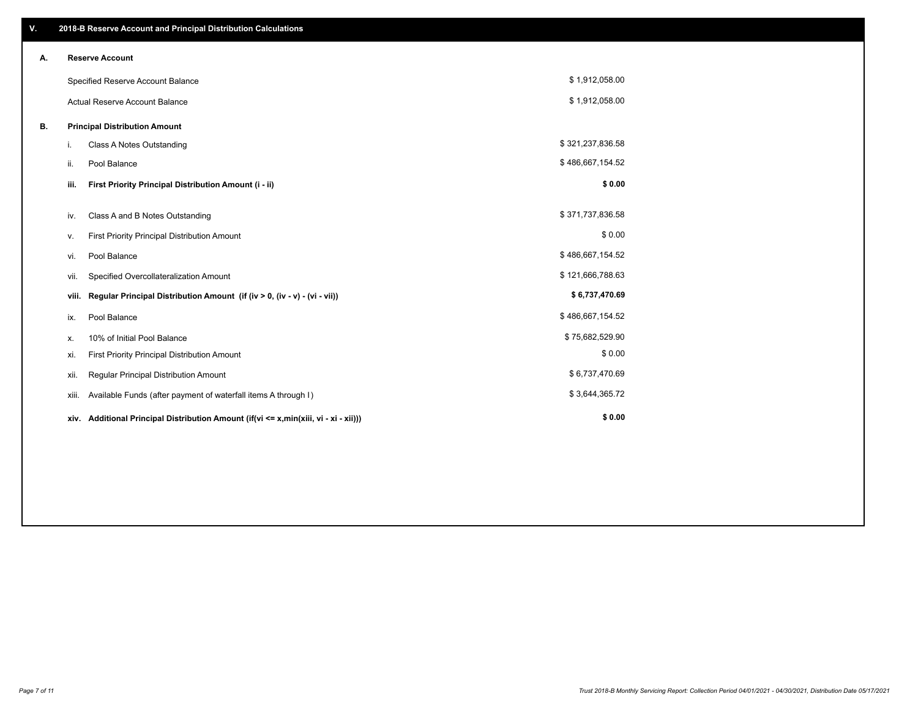| V. |                                      | 2018-B Reserve Account and Principal Distribution Calculations                  |                  |  |  |
|----|--------------------------------------|---------------------------------------------------------------------------------|------------------|--|--|
| А. | <b>Reserve Account</b>               |                                                                                 |                  |  |  |
|    |                                      | Specified Reserve Account Balance                                               | \$1,912,058.00   |  |  |
|    |                                      | <b>Actual Reserve Account Balance</b>                                           | \$1,912,058.00   |  |  |
| В. | <b>Principal Distribution Amount</b> |                                                                                 |                  |  |  |
|    | i.                                   | Class A Notes Outstanding                                                       | \$321,237,836.58 |  |  |
|    | ii.                                  | Pool Balance                                                                    | \$486,667,154.52 |  |  |
|    | iii.                                 | First Priority Principal Distribution Amount (i - ii)                           | \$0.00           |  |  |
|    |                                      |                                                                                 | \$371,737,836.58 |  |  |
|    | iv.                                  | Class A and B Notes Outstanding                                                 |                  |  |  |
|    | ٧.                                   | First Priority Principal Distribution Amount                                    | \$0.00           |  |  |
|    | vi.                                  | Pool Balance                                                                    | \$486,667,154.52 |  |  |
|    | vii.                                 | Specified Overcollateralization Amount                                          | \$121,666,788.63 |  |  |
|    | viii.                                | Regular Principal Distribution Amount (if (iv > 0, (iv - v) - (vi - vii))       | \$6,737,470.69   |  |  |
|    | ix.                                  | Pool Balance                                                                    | \$486,667,154.52 |  |  |
|    | Х.                                   | 10% of Initial Pool Balance                                                     | \$75,682,529.90  |  |  |
|    | xi.                                  | First Priority Principal Distribution Amount                                    | \$0.00           |  |  |
|    | xii.                                 | Regular Principal Distribution Amount                                           | \$6,737,470.69   |  |  |
|    | xiii.                                | Available Funds (after payment of waterfall items A through I)                  | \$3,644,365.72   |  |  |
|    | xiv.                                 | Additional Principal Distribution Amount (if(vi <= x,min(xiii, vi - xi - xii))) | \$0.00           |  |  |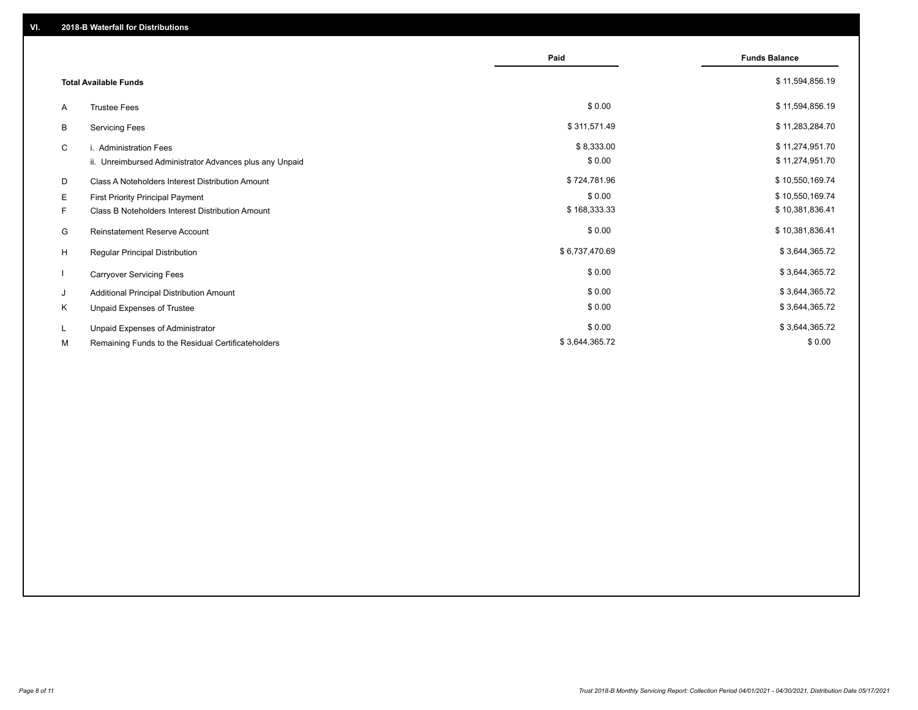|                              |                                                         | Paid           | <b>Funds Balance</b> |
|------------------------------|---------------------------------------------------------|----------------|----------------------|
| <b>Total Available Funds</b> |                                                         |                | \$11,594,856.19      |
| A                            | <b>Trustee Fees</b>                                     | \$0.00         | \$11,594,856.19      |
| В                            | <b>Servicing Fees</b>                                   | \$311,571.49   | \$11,283,284.70      |
| C                            | i. Administration Fees                                  | \$8,333.00     | \$11,274,951.70      |
|                              | ii. Unreimbursed Administrator Advances plus any Unpaid | \$0.00         | \$11,274,951.70      |
| D                            | Class A Noteholders Interest Distribution Amount        | \$724,781.96   | \$10,550,169.74      |
| E.                           | First Priority Principal Payment                        | \$0.00         | \$10,550,169.74      |
| F.                           | Class B Noteholders Interest Distribution Amount        | \$168,333.33   | \$10,381,836.41      |
| G                            | <b>Reinstatement Reserve Account</b>                    | \$0.00         | \$10,381,836.41      |
| H                            | Regular Principal Distribution                          | \$6,737,470.69 | \$3,644,365.72       |
|                              | <b>Carryover Servicing Fees</b>                         | \$0.00         | \$3,644,365.72       |
| J                            | Additional Principal Distribution Amount                | \$0.00         | \$3,644,365.72       |
| Κ                            | Unpaid Expenses of Trustee                              | \$0.00         | \$3,644,365.72       |
| L.                           | Unpaid Expenses of Administrator                        | \$0.00         | \$3,644,365.72       |
| М                            | Remaining Funds to the Residual Certificateholders      | \$3,644,365.72 | \$0.00               |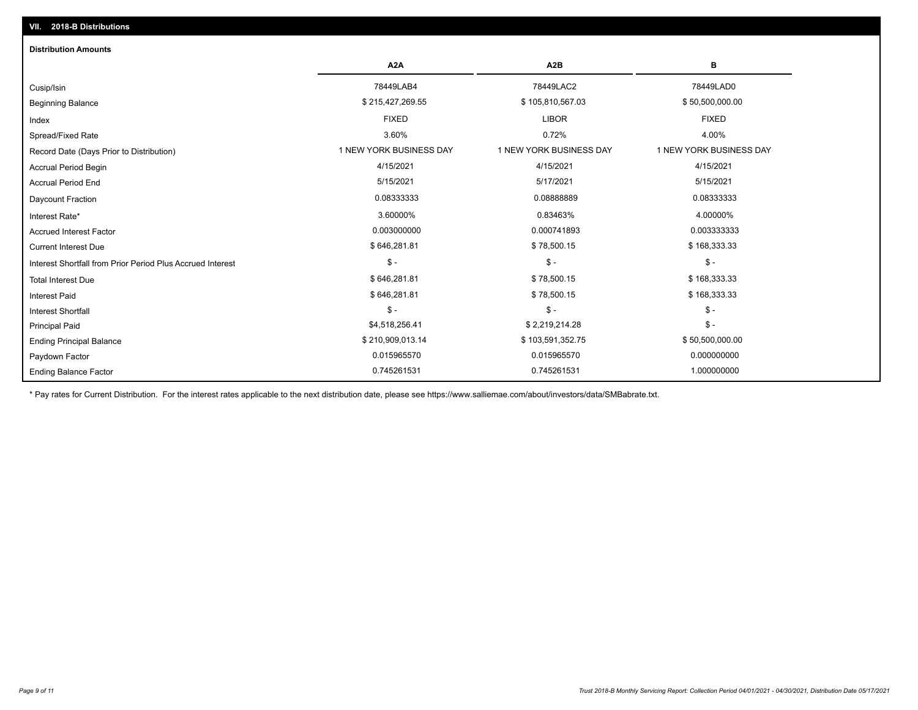| <b>Distribution Amounts</b>                                |                         |                         |                         |
|------------------------------------------------------------|-------------------------|-------------------------|-------------------------|
|                                                            | A <sub>2</sub> A        | A <sub>2</sub> B        | в                       |
| Cusip/Isin                                                 | 78449LAB4               | 78449LAC2               | 78449LAD0               |
| <b>Beginning Balance</b>                                   | \$215,427,269.55        | \$105,810,567.03        | \$50,500,000.00         |
| Index                                                      | <b>FIXED</b>            | <b>LIBOR</b>            | <b>FIXED</b>            |
| Spread/Fixed Rate                                          | 3.60%                   | 0.72%                   | 4.00%                   |
| Record Date (Days Prior to Distribution)                   | 1 NEW YORK BUSINESS DAY | 1 NEW YORK BUSINESS DAY | 1 NEW YORK BUSINESS DAY |
| <b>Accrual Period Begin</b>                                | 4/15/2021               | 4/15/2021               | 4/15/2021               |
| <b>Accrual Period End</b>                                  | 5/15/2021               | 5/17/2021               | 5/15/2021               |
| Daycount Fraction                                          | 0.08333333              | 0.08888889              | 0.08333333              |
| Interest Rate*                                             | 3.60000%                | 0.83463%                | 4.00000%                |
| <b>Accrued Interest Factor</b>                             | 0.003000000             | 0.000741893             | 0.003333333             |
| <b>Current Interest Due</b>                                | \$646,281.81            | \$78,500.15             | \$168,333.33            |
| Interest Shortfall from Prior Period Plus Accrued Interest | $\mathcal{S}$ -         | $\mathcal{S}$ -         | $\mathsf{\$}$ -         |
| <b>Total Interest Due</b>                                  | \$646,281.81            | \$78,500.15             | \$168,333.33            |
| <b>Interest Paid</b>                                       | \$646,281.81            | \$78,500.15             | \$168,333.33            |
| Interest Shortfall                                         | $$ -$                   | $\mathsf{\$}$ -         | $\mathsf{\$}$ -         |
| <b>Principal Paid</b>                                      | \$4,518,256.41          | \$2,219,214.28          | $\mathsf{\$}$ -         |
| <b>Ending Principal Balance</b>                            | \$210,909,013.14        | \$103,591,352.75        | \$50,500,000.00         |
| Paydown Factor                                             | 0.015965570             | 0.015965570             | 0.000000000             |
| <b>Ending Balance Factor</b>                               | 0.745261531             | 0.745261531             | 1.000000000             |

\* Pay rates for Current Distribution. For the interest rates applicable to the next distribution date, please see https://www.salliemae.com/about/investors/data/SMBabrate.txt.

**VII. 2018-B Distributions**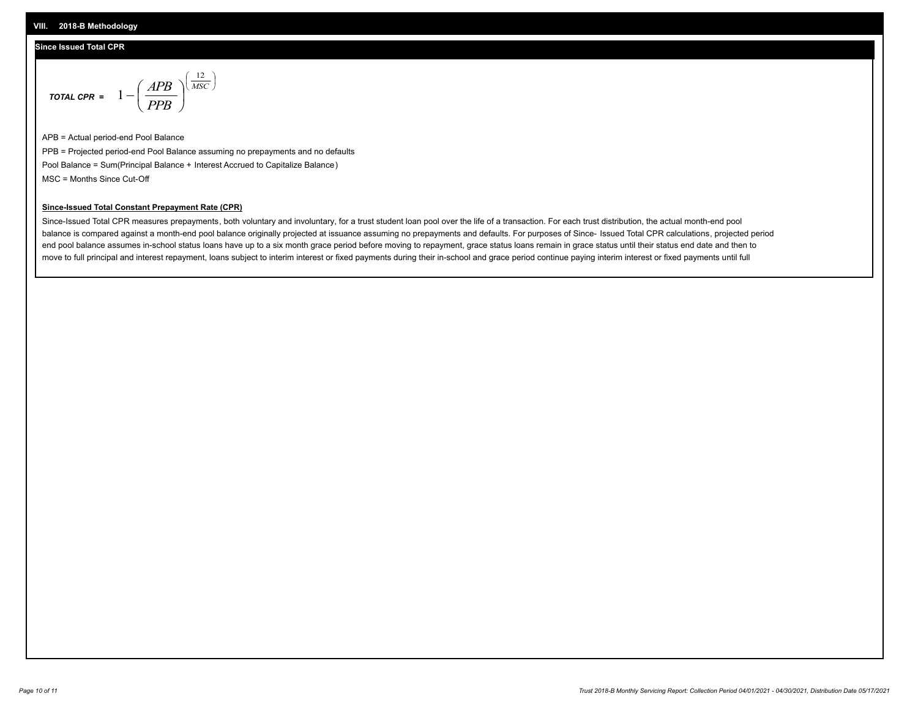#### **Since Issued Total CPR**

$$
\text{total CPR} = 1 - \left(\frac{APB}{PPB}\right)^{\left(\frac{12}{MSC}\right)}
$$

APB = Actual period-end Pool Balance PPB = Projected period-end Pool Balance assuming no prepayments and no defaults Pool Balance = Sum(Principal Balance + Interest Accrued to Capitalize Balance) MSC = Months Since Cut-Off

 $\mathsf{I}$ J λ

#### **Since-Issued Total Constant Prepayment Rate (CPR)**

Since-Issued Total CPR measures prepayments, both voluntary and involuntary, for a trust student loan pool over the life of a transaction. For each trust distribution, the actual month-end pool balance is compared against a month-end pool balance originally projected at issuance assuming no prepayments and defaults. For purposes of Since- Issued Total CPR calculations, projected period end pool balance assumes in-school status loans have up to a six month grace period before moving to repayment, grace status loans remain in grace status until their status end date and then to move to full principal and interest repayment, loans subject to interim interest or fixed payments during their in-school and grace period continue paying interim interest or fixed payments until full